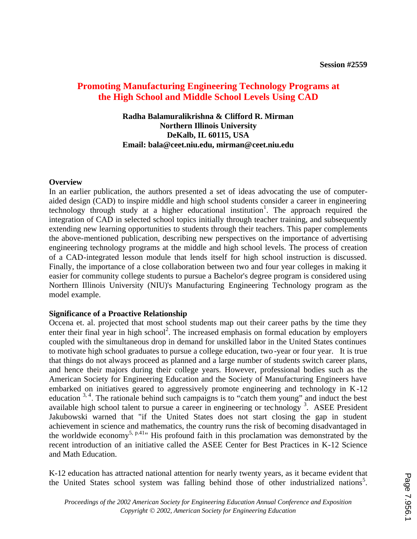# **Promoting Manufacturing Engineering Technology Programs at the High School and Middle School Levels Using CAD**

# **Radha Balamuralikrishna & Clifford R. Mirman Northern Illinois University DeKalb, IL 60115, USA Email: bala@ceet.niu.edu, mirman@ceet.niu.edu**

### **Overview**

In an earlier publication, the authors presented a set of ideas advocating the use of computeraided design (CAD) to inspire middle and high school students consider a career in engineering technology through study at a higher educational institution<sup>1</sup>. The approach required the integration of CAD in selected school topics initially through teacher training, and subsequently extending new learning opportunities to students through their teachers. This paper complements the above-mentioned publication, describing new perspectives on the importance of advertising engineering technology programs at the middle and high school levels. The process of creation of a CAD-integrated lesson module that lends itself for high school instruction is discussed. Finally, the importance of a close collaboration between two and four year colleges in making it easier for community college students to pursue a Bachelor's degree program is considered using Northern Illinois University (NIU)'s Manufacturing Engineering Technology program as the model example.

#### **Significance of a Proactive Relationship**

Occena et. al. projected that most school students map out their career paths by the time they enter their final year in high school<sup>2</sup>. The increased emphasis on formal education by employers coupled with the simultaneous drop in demand for unskilled labor in the United States continues to motivate high school graduates to pursue a college education, two -year or four year. It is true that things do not always proceed as planned and a large number of students switch career plans, and hence their majors during their college years. However, professional bodies such as the American Society for Engineering Education and the Society of Manufacturing Engineers have embarked on initiatives geared to aggressively promote engineering and technology in K-12 education  $3, 4$ . The rationale behind such campaigns is to "catch them young" and induct the best available high school talent to pursue a career in engineering or technology<sup>3</sup>. ASEE President Jakubowski warned that "if the United States does not start closing the gap in student achievement in science and mathematics, the country runs the risk of becoming disadvantaged in the worldwide economy<sup>5, p.41</sup>" His profound faith in this proclamation was demonstrated by the recent introduction of an initiative called the ASEE Center for Best Practices in K-12 Science and Math Education.

K-12 education has attracted national attention for nearly twenty years, as it became evident that the United States school system was falling behind those of other industrialized nations<sup>5</sup>.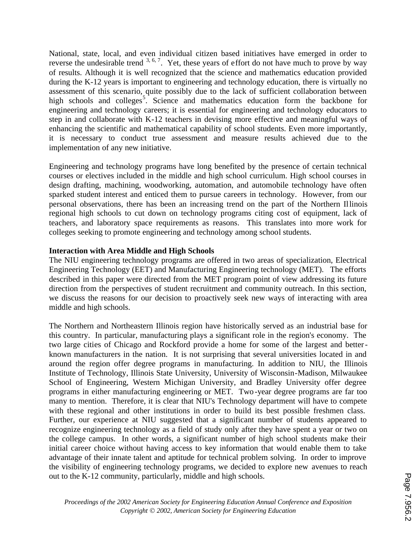National, state, local, and even individual citizen based initiatives have emerged in order to reverse the undesirable trend  $3, 6, 7$ . Yet, these years of effort do not have much to prove by way of results. Although it is well recognized that the science and mathematics education provided during the K-12 years is important to engineering and technology education, there is virtually no assessment of this scenario, quite possibly due to the lack of sufficient collaboration between high schools and colleges<sup>5</sup>. Science and mathematics education form the backbone for engineering and technology careers; it is essential for engineering and technology educators to step in and collaborate with K-12 teachers in devising more effective and meaningful ways of enhancing the scientific and mathematical capability of school students. Even more importantly, it is necessary to conduct true assessment and measure results achieved due to the implementation of any new initiative.

Engineering and technology programs have long benefited by the presence of certain technical courses or electives included in the middle and high school curriculum. High school courses in design drafting, machining, woodworking, automation, and automobile technology have often sparked student interest and enticed them to pursue careers in technology. However, from our personal observations, there has been an increasing trend on the part of the Northern Illinois regional high schools to cut down on technology programs citing cost of equipment, lack of teachers, and laboratory space requirements as reasons. This translates into more work for colleges seeking to promote engineering and technology among school students.

# **Interaction with Area Middle and High Schools**

The NIU engineering technology programs are offered in two areas of specialization, Electrical Engineering Technology (EET) and Manufacturing Engineering technology (MET). The efforts described in this paper were directed from the MET program point of view addressing its future direction from the perspectives of student recruitment and community outreach. In this section, we discuss the reasons for our decision to proactively seek new ways of interacting with area middle and high schools.

The Northern and Northeastern Illinois region have historically served as an industrial base for this country. In particular, manufacturing plays a significant role in the region's economy. The two large cities of Chicago and Rockford provide a home for some of the largest and betterknown manufacturers in the nation. It is not surprising that several universities located in and around the region offer degree programs in manufacturing. In addition to NIU, the Illinois Institute of Technology, Illinois State University, University of Wisconsin-Madison, Milwaukee School of Engineering, Western Michigan University, and Bradley University offer degree programs in either manufacturing engineering or MET. Two -year degree programs are far too many to mention. Therefore, it is clear that NIU's Technology department will have to compete with these regional and other institutions in order to build its best possible freshmen class. Further, our experience at NIU suggested that a significant number of students appeared to recognize engineering technology as a field of study only after they have spent a year or two on the college campus. In other words, a significant number of high school students make their initial career choice without having access to key information that would enable them to take advantage of their innate talent and aptitude for technical problem solving. In order to improve the visibility of engineering technology programs, we decided to explore new avenues to reach out to the K-12 community, particularly, middle and high schools.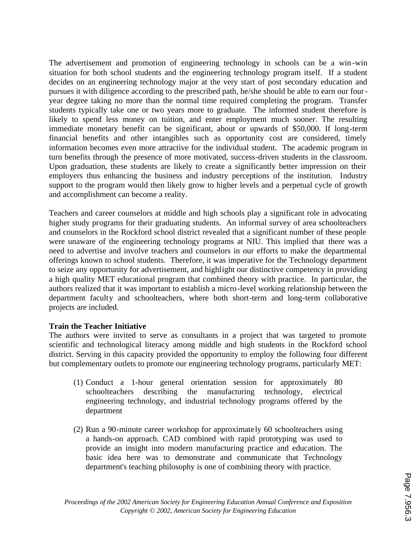The advertisement and promotion of engineering technology in schools can be a win -win situation for both school students and the engineering technology program itself. If a student decides on an engineering technology major at the very start of post secondary education and pursues it with diligence according to the prescribed path, he/she should be able to earn our fouryear degree taking no more than the normal time required completing the program. Transfer students typically take one or two years more to graduate. The informed student therefore is likely to spend less money on tuition, and enter employment much sooner. The resulting immediate monetary benefit can be significant, about or upwards of \$50,000. If long-term financial benefits and other intangibles such as opportunity cost are considered, timely information becomes even more attractive for the individual student. The academic program in turn benefits through the presence of more motivated, success-driven students in the classroom. Upon graduation, these students are likely to create a significantly better impression on their employers thus enhancing the business and industry perceptions of the institution. Industry support to the program would then likely grow to higher levels and a perpetual cycle of growth and accomplishment can become a reality.

Teachers and career counselors at middle and high schools play a significant role in advocating higher study programs for their graduating students. An informal survey of area schoolteachers and counselors in the Rockford school district revealed that a significant number of these people were unaware of the engineering technology programs at NIU. This implied that there was a need to advertise and involve teachers and counselors in our efforts to make the departmental offerings known to school students. Therefore, it was imperative for the Technology department to seize any opportunity for advertisement, and highlight our distinctive competency in providing a high quality MET educational program that combined theory with practice. In particular, the authors realized that it was important to establish a micro-level working relationship between the department faculty and schoolteachers, where both short-term and long-term collaborative projects are included.

#### **Train the Teacher Initiative**

The authors were invited to serve as consultants in a project that was targeted to promote scientific and technological literacy among middle and high students in the Rockford school district. Serving in this capacity provided the opportunity to employ the following four different but complementary outlets to promote our engineering technology programs, particularly MET:

- (1) Conduct a 1-hour general orientation session for approximately 80 schoolteachers describing the manufacturing technology, electrical engineering technology, and industrial technology programs offered by the department
- (2) Run a 90-minute career workshop for approximately 60 schoolteachers using a hands-on approach. CAD combined with rapid prototyping was used to provide an insight into modern manufacturing practice and education. The basic idea here was to demonstrate and communicate that Technology department's teaching philosophy is one of combining theory with practice.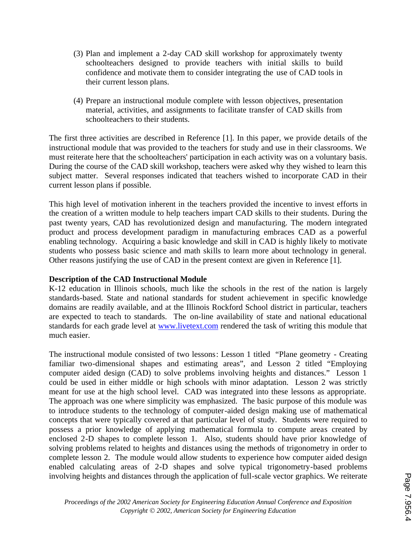- (3) Plan and implement a 2-day CAD skill workshop for approximately twenty schoolteachers designed to provide teachers with initial skills to build confidence and motivate them to consider integrating the use of CAD tools in their current lesson plans.
- (4) Prepare an instructional module complete with lesson objectives, presentation material, activities, and assignments to facilitate transfer of CAD skills from schoolteachers to their students.

The first three activities are described in Reference [1]. In this paper, we provide details of the instructional module that was provided to the teachers for study and use in their classrooms. We must reiterate here that the schoolteachers' participation in each activity was on a voluntary basis. During the course of the CAD skill workshop, teachers were asked why they wished to learn this subject matter. Several responses indicated that teachers wished to incorporate CAD in their current lesson plans if possible.

This high level of motivation inherent in the teachers provided the incentive to invest efforts in the creation of a written module to help teachers impart CAD skills to their students. During the past twenty years, CAD has revolutionized design and manufacturing. The modern integrated product and process development paradigm in manufacturing embraces CAD as a powerful enabling technology. Acquiring a basic knowledge and skill in CAD is highly likely to motivate students who possess basic science and math skills to learn more about technology in general. Other reasons justifying the use of CAD in the present context are given in Reference [1].

# **Description of the CAD Instructional Module**

K-12 education in Illinois schools, much like the schools in the rest of the nation is largely standards-based. State and national standards for student achievement in specific knowledge domains are readily available, and at the Illinois Rockford School district in particular, teachers are expected to teach to standards. The on-line availability of state and national educational standards for each grade level at www.livetext.com rendered the task of writing this module that much easier.

The instructional module consisted of two lessons: Lesson 1 titled "Plane geometry - Creating familiar two-dimensional shapes and estimating areas", and Lesson 2 titled "Employing computer aided design (CAD) to solve problems involving heights and distances." Lesson 1 could be used in either middle or high schools with minor adaptation. Lesson 2 was strictly meant for use at the high school level. CAD was integrated into these lessons as appropriate. The approach was one where simplicity was emphasized. The basic purpose of this module was to introduce students to the technology of computer-aided design making use of mathematical concepts that were typically covered at that particular level of study. Students were required to possess a prior knowledge of applying mathematical formula to compute areas created by enclosed 2-D shapes to complete lesson 1. Also, students should have prior knowledge of solving problems related to heights and distances using the methods of trigonometry in order to complete lesson 2. The module would allow students to experience how computer aided design enabled calculating areas of 2-D shapes and solve typical trigonometry-based problems involving heights and distances through the application of full-scale vector graphics. We reiterate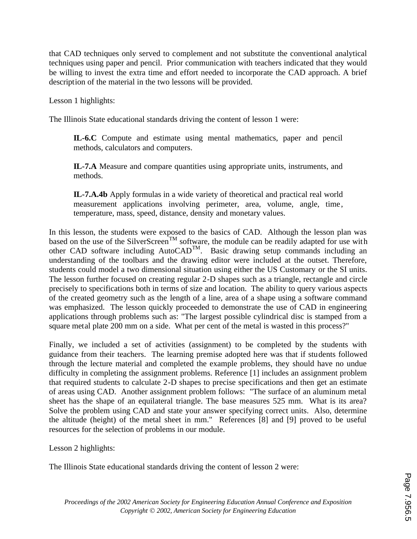that CAD techniques only served to complement and not substitute the conventional analytical techniques using paper and pencil. Prior communication with teachers indicated that they would be willing to invest the extra time and effort needed to incorporate the CAD approach. A brief description of the material in the two lessons will be provided.

Lesson 1 highlights:

The Illinois State educational standards driving the content of lesson 1 were:

**IL-6.C** Compute and estimate using mental mathematics, paper and pencil methods, calculators and computers.

**IL-7.A** Measure and compare quantities using appropriate units, instruments, and methods.

**IL-7.A.4b** Apply formulas in a wide variety of theoretical and practical real world measurement applications involving perimeter, area, volume, angle, time, temperature, mass, speed, distance, density and monetary values.

In this lesson, the students were exposed to the basics of CAD. Although the lesson plan was based on the use of the SilverScreen<sup>TM</sup> software, the module can be readily adapted for use with other CAD software including AutoCAD<sup>TM</sup>. Basic drawing setup commands including an understanding of the toolbars and the drawing editor were included at the outset. Therefore, students could model a two dimensional situation using either the US Customary or the SI units. The lesson further focused on creating regular 2-D shapes such as a triangle, rectangle and circle precisely to specifications both in terms of size and location. The ability to query various aspects of the created geometry such as the length of a line, area of a shape using a software command was emphasized. The lesson quickly proceeded to demonstrate the use of CAD in engineering applications through problems such as: "The largest possible cylindrical disc is stamped from a square metal plate 200 mm on a side. What per cent of the metal is wasted in this process?"

Finally, we included a set of activities (assignment) to be completed by the students with guidance from their teachers. The learning premise adopted here was that if students followed through the lecture material and completed the example problems, they should have no undue difficulty in completing the assignment problems. Reference [1] includes an assignment problem that required students to calculate 2-D shapes to precise specifications and then get an estimate of areas using CAD. Another assignment problem follows: "The surface of an aluminum metal sheet has the shape of an equilateral triangle. The base measures 525 mm. What is its area? Solve the problem using CAD and state your answer specifying correct units. Also, determine the altitude (height) of the metal sheet in mm." References [8] and [9] proved to be useful resources for the selection of problems in our module.

Lesson 2 highlights:

The Illinois State educational standards driving the content of lesson 2 were: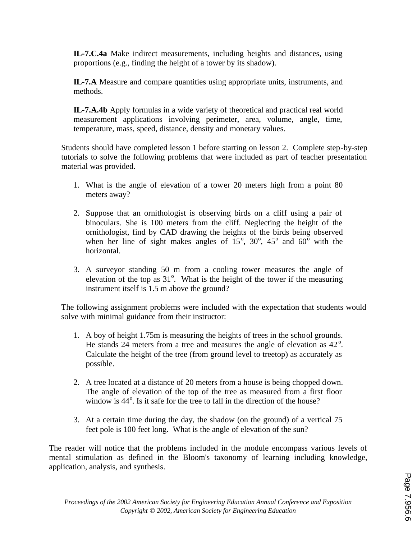**IL-7.C.4a** Make indirect measurements, including heights and distances, using proportions (e.g., finding the height of a tower by its shadow).

**IL-7.A** Measure and compare quantities using appropriate units, instruments, and methods.

**IL-7.A.4b** Apply formulas in a wide variety of theoretical and practical real world measurement applications involving perimeter, area, volume, angle, time, temperature, mass, speed, distance, density and monetary values.

Students should have completed lesson 1 before starting on lesson 2. Complete step-by-step tutorials to solve the following problems that were included as part of teacher presentation material was provided.

- 1. What is the angle of elevation of a tower 20 meters high from a point 80 meters away?
- 2. Suppose that an ornithologist is observing birds on a cliff using a pair of binoculars. She is 100 meters from the cliff. Neglecting the height of the ornithologist, find by CAD drawing the heights of the birds being observed when her line of sight makes angles of  $15^\circ$ ,  $30^\circ$ ,  $45^\circ$  and  $60^\circ$  with the horizontal.
- 3. A surveyor standing 50 m from a cooling tower measures the angle of elevation of the top as  $31^\circ$ . What is the height of the tower if the measuring instrument itself is 1.5 m above the ground?

The following assignment problems were included with the expectation that students would solve with minimal guidance from their instructor:

- 1. A boy of height 1.75m is measuring the heights of trees in the school grounds. He stands  $24$  meters from a tree and measures the angle of elevation as  $42^\circ$ . Calculate the height of the tree (from ground level to treetop) as accurately as possible.
- 2. A tree located at a distance of 20 meters from a house is being chopped down. The angle of elevation of the top of the tree as measured from a first floor window is  $44^\circ$ . Is it safe for the tree to fall in the direction of the house?
- 3. At a certain time during the day, the shadow (on the ground) of a vertical 75 feet pole is 100 feet long. What is the angle of elevation of the sun?

The reader will notice that the problems included in the module encompass various levels of mental stimulation as defined in the Bloom's taxonomy of learning including knowledge, application, analysis, and synthesis.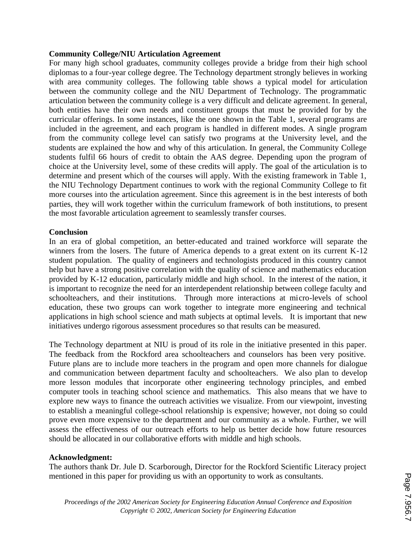#### **Community College/NIU Articulation Agreement**

For many high school graduates, community colleges provide a bridge from their high school diplomas to a four-year college degree. The Technology department strongly believes in working with area community colleges. The following table shows a typical model for articulation between the community college and the NIU Department of Technology. The programmatic articulation between the community college is a very difficult and delicate agreement. In general, both entities have their own needs and constituent groups that must be provided for by the curricular offerings. In some instances, like the one shown in the Table 1, several programs are included in the agreement, and each program is handled in different modes. A single program from the community college level can satisfy two programs at the University level, and the students are explained the how and why of this articulation. In general, the Community College students fulfil 66 hours of credit to obtain the AAS degree. Depending upon the program of choice at the University level, some of these credits will apply. The goal of the articulation is to determine and present which of the courses will apply. With the existing framework in Table 1, the NIU Technology Department continues to work with the regional Community College to fit more courses into the articulation agreement. Since this agreement is in the best interests of both parties, they will work together within the curriculum framework of both institutions, to present the most favorable articulation agreement to seamlessly transfer courses.

### **Conclusion**

In an era of global competition, an better-educated and trained workforce will separate the winners from the losers. The future of America depends to a great extent on its current K-12 student population. The quality of engineers and technologists produced in this country cannot help but have a strong positive correlation with the quality of science and mathematics education provided by K-12 education, particularly middle and high school. In the interest of the nation, it is important to recognize the need for an interdependent relationship between college faculty and schoolteachers, and their institutions. Through more interactions at micro-levels of school education, these two groups can work together to integrate more engineering and technical applications in high school science and math subjects at optimal levels. It is important that new initiatives undergo rigorous assessment procedures so that results can be measured.

The Technology department at NIU is proud of its role in the initiative presented in this paper. The feedback from the Rockford area schoolteachers and counselors has been very positive. Future plans are to include more teachers in the program and open more channels for dialogue and communication between department faculty and schoolteachers. We also plan to develop more lesson modules that incorporate other engineering technology principles, and embed computer tools in teaching school science and mathematics. This also means that we have to explore new ways to finance the outreach activities we visualize. From our viewpoint, investing to establish a meaningful college-school relationship is expensive; however, not doing so could prove even more expensive to the department and our community as a whole. Further, we will assess the effectiveness of our outreach efforts to help us better decide how future resources should be allocated in our collaborative efforts with middle and high schools.

# **Acknowledgment:**

The authors thank Dr. Jule D. Scarborough, Director for the Rockford Scientific Literacy project mentioned in this paper for providing us with an opportunity to work as consultants.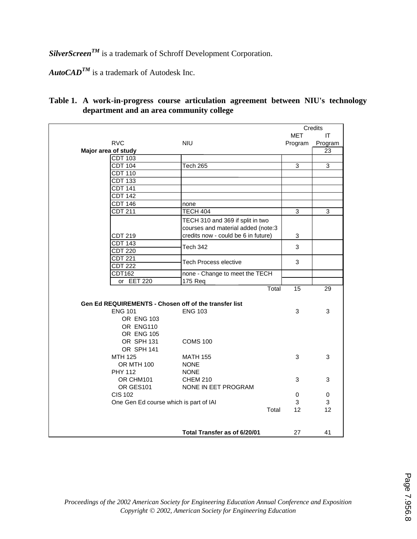*SilverScreenTM* is a trademark of Schroff Development Corporation.

 $\mathbf{AutoCAD}^{\mathbf{TM}}$  is a trademark of Autodesk Inc.

# **Table 1. A work-in-progress course articulation agreement between NIU's technology department and an area community college**

|                                        |                                                       |                                     | Credits    |              |
|----------------------------------------|-------------------------------------------------------|-------------------------------------|------------|--------------|
|                                        |                                                       |                                     | <b>MET</b> | IT           |
|                                        | <b>RVC</b>                                            | <b>NIU</b>                          | Program    | Program      |
| Major area of study                    |                                                       |                                     |            | 23           |
|                                        | <b>CDT 103</b>                                        |                                     |            |              |
|                                        | <b>CDT 104</b>                                        | Tech 265                            | 3          | $\mathbf{3}$ |
|                                        | <b>CDT 110</b>                                        |                                     |            |              |
|                                        | <b>CDT 133</b>                                        |                                     |            |              |
|                                        | <b>CDT 141</b>                                        |                                     |            |              |
|                                        | <b>CDT 142</b>                                        |                                     |            |              |
|                                        | <b>CDT 146</b>                                        | none                                |            |              |
|                                        | $\overline{CDT}$ 211                                  | TECH 404                            | 3          | 3            |
|                                        |                                                       | TECH 310 and 369 if split in two    |            |              |
|                                        |                                                       | courses and material added (note:3  |            |              |
|                                        | CDT 219                                               | credits now - could be 6 in future) | 3          |              |
|                                        | <b>CDT 143</b>                                        |                                     | 3          |              |
|                                        | <b>CDT 220</b>                                        | Tech 342                            |            |              |
|                                        | <b>CDT 221</b>                                        |                                     | 3          |              |
|                                        | <b>CDT 222</b>                                        | <b>Tech Process elective</b>        |            |              |
|                                        | <b>CDT162</b>                                         | none - Change to meet the TECH      |            |              |
|                                        | or EET 220                                            | 175 Req                             |            |              |
|                                        |                                                       | Total                               | 15         | 29           |
|                                        |                                                       |                                     |            |              |
|                                        | Gen Ed REQUIREMENTS - Chosen off of the transfer list |                                     |            |              |
|                                        | <b>ENG 101</b>                                        | <b>ENG 103</b>                      | 3          | 3            |
|                                        | <b>OR ENG 103</b>                                     |                                     |            |              |
|                                        | OR ENG110                                             |                                     |            |              |
|                                        | OR ENG 105                                            |                                     |            |              |
|                                        | OR SPH 131                                            | <b>COMS 100</b>                     |            |              |
|                                        | OR SPH 141                                            |                                     |            |              |
|                                        | MTH 125                                               | <b>MATH 155</b>                     | 3          | 3            |
|                                        | <b>OR MTH 100</b>                                     | <b>NONE</b>                         |            |              |
|                                        | <b>PHY 112</b>                                        | <b>NONE</b>                         |            |              |
|                                        | OR CHM101                                             | <b>CHEM 210</b>                     | 3          | 3            |
|                                        | OR GES101                                             | NONE IN EET PROGRAM                 |            |              |
|                                        | <b>CIS 102</b>                                        |                                     | 0          | 0            |
| One Gen Ed course which is part of IAI |                                                       |                                     | 3          | 3            |
|                                        |                                                       | Total                               | 12         | 12           |
|                                        |                                                       |                                     |            |              |
|                                        |                                                       |                                     |            |              |
|                                        |                                                       | Total Transfer as of 6/20/01        | 27         | 41           |